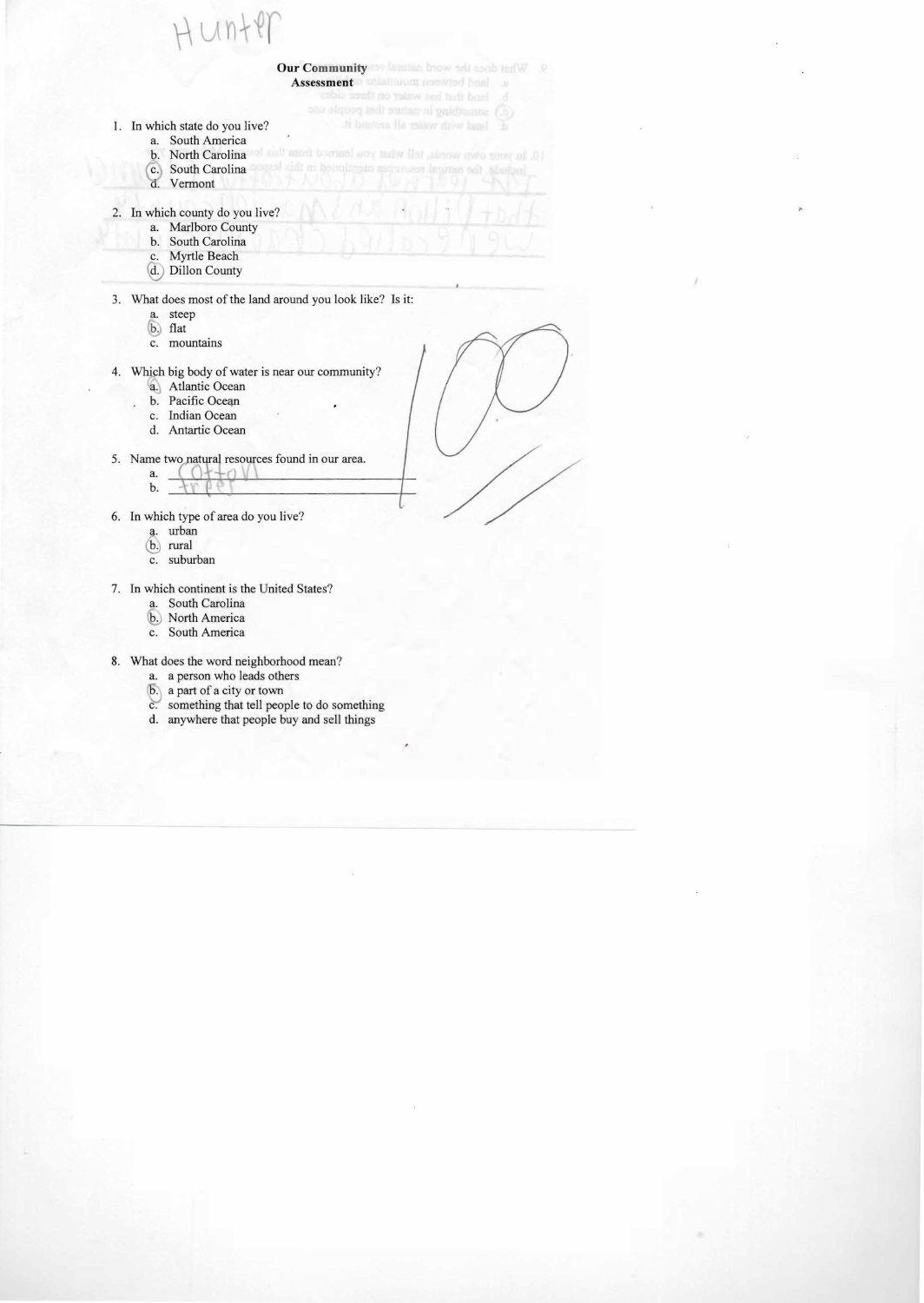- 1. In which state do you live?
	- a. South America
	- b. North Carolina
	- c. South Carolina
	- d. Vermont
- 2. In which county do you live?
	- a. Marlboro County
	- b. South Carolina
	- c. Myrtle Beach
	- *@J* Dillon County
- 3. \\!hat does most of the land around you look like? Is it:

**Our Community of Antibac brown and asob leave** 

Assessment **of all anguing montrad brink** and

ti hantona lia miave ritive band

10. In your own words, tell what you learned from

- a. steep
- b. flat
- c. mountains
- 4. Which big body of water is near our community?
	- a. Atlantic Ocean
	- b. Pacific Ocean
	- c. Indian Ocean
	- d. Antartic Ocean
- 5. Name two atural resources found in our area.
	- a. **(**
	- b.
- 6. In which type of area do you live?
	- a. urban
	- rural
	- c. suburban
- 7. In which continent is the United States?
	- a. South Carolina
	- b. North America
	- c. South America
- 8. What does the word neighborhood mean?
	- a. a person who leads others
	- b. a part of a city or town
	- c. something that tell people to do something
	- d. anywhere that people buy and sell things